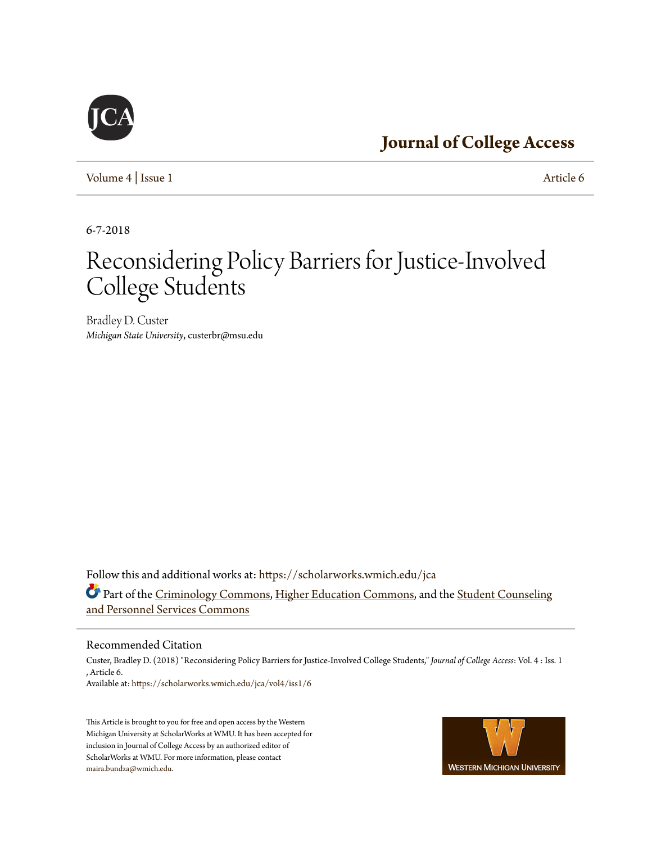# **[Journal of College Access](https://scholarworks.wmich.edu/jca?utm_source=scholarworks.wmich.edu%2Fjca%2Fvol4%2Fiss1%2F6&utm_medium=PDF&utm_campaign=PDFCoverPages)**

[Volume 4](https://scholarworks.wmich.edu/jca/vol4?utm_source=scholarworks.wmich.edu%2Fjca%2Fvol4%2Fiss1%2F6&utm_medium=PDF&utm_campaign=PDFCoverPages) | [Issue 1](https://scholarworks.wmich.edu/jca/vol4/iss1?utm_source=scholarworks.wmich.edu%2Fjca%2Fvol4%2Fiss1%2F6&utm_medium=PDF&utm_campaign=PDFCoverPages) [Article 6](https://scholarworks.wmich.edu/jca/vol4/iss1/6?utm_source=scholarworks.wmich.edu%2Fjca%2Fvol4%2Fiss1%2F6&utm_medium=PDF&utm_campaign=PDFCoverPages)

6-7-2018

# Reconsidering Policy Barriers for Justice-Involved College Students

Bradley D. Custer *Michigan State University*, custerbr@msu.edu

Follow this and additional works at: [https://scholarworks.wmich.edu/jca](https://scholarworks.wmich.edu/jca?utm_source=scholarworks.wmich.edu%2Fjca%2Fvol4%2Fiss1%2F6&utm_medium=PDF&utm_campaign=PDFCoverPages) Part of the [Criminology Commons,](http://network.bepress.com/hgg/discipline/417?utm_source=scholarworks.wmich.edu%2Fjca%2Fvol4%2Fiss1%2F6&utm_medium=PDF&utm_campaign=PDFCoverPages) [Higher Education Commons,](http://network.bepress.com/hgg/discipline/1245?utm_source=scholarworks.wmich.edu%2Fjca%2Fvol4%2Fiss1%2F6&utm_medium=PDF&utm_campaign=PDFCoverPages) and the [Student Counseling](http://network.bepress.com/hgg/discipline/802?utm_source=scholarworks.wmich.edu%2Fjca%2Fvol4%2Fiss1%2F6&utm_medium=PDF&utm_campaign=PDFCoverPages) [and Personnel Services Commons](http://network.bepress.com/hgg/discipline/802?utm_source=scholarworks.wmich.edu%2Fjca%2Fvol4%2Fiss1%2F6&utm_medium=PDF&utm_campaign=PDFCoverPages)

#### Recommended Citation

Custer, Bradley D. (2018) "Reconsidering Policy Barriers for Justice-Involved College Students," *Journal of College Access*: Vol. 4 : Iss. 1 , Article 6. Available at: [https://scholarworks.wmich.edu/jca/vol4/iss1/6](https://scholarworks.wmich.edu/jca/vol4/iss1/6?utm_source=scholarworks.wmich.edu%2Fjca%2Fvol4%2Fiss1%2F6&utm_medium=PDF&utm_campaign=PDFCoverPages)

This Article is brought to you for free and open access by the Western Michigan University at ScholarWorks at WMU. It has been accepted for inclusion in Journal of College Access by an authorized editor of ScholarWorks at WMU. For more information, please contact [maira.bundza@wmich.edu](mailto:maira.bundza@wmich.edu).



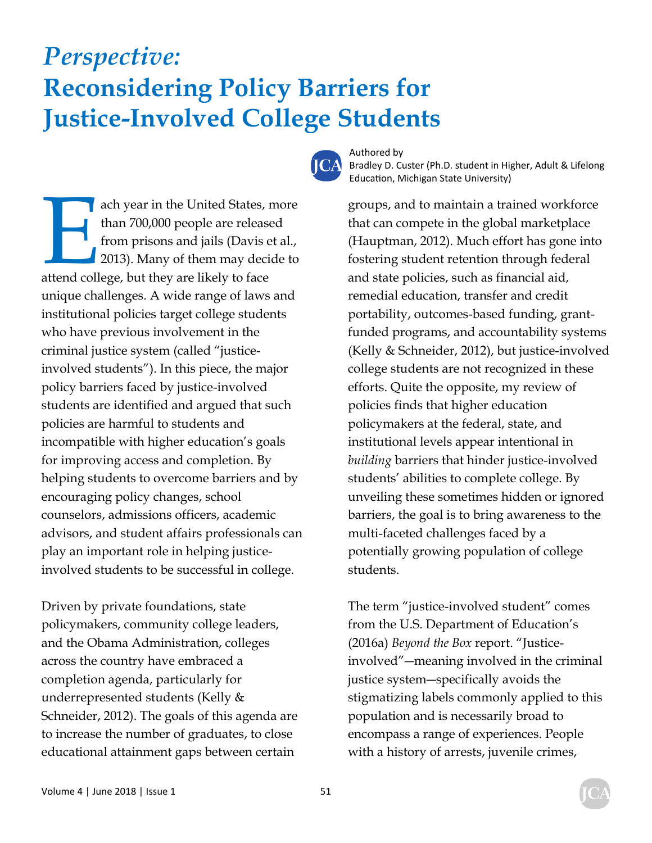# *Perspective:*  **Reconsidering Policy Barriers for Justice-Involved College Students**



Authored by Bradley D. Custer (Ph.D. student in Higher, Adult & Lifelong Education, Michigan State University)

ach year in the United States, more<br>
than 700,000 people are released<br>
from prisons and jails (Davis et al.,<br>
2013). Many of them may decide to<br>
attend college, but they are likely to face than 700,000 people are released from prisons and jails (Davis et al., 2013). Many of them may decide to unique challenges. A wide range of laws and institutional policies target college students who have previous involvement in the criminal justice system (called "justiceinvolved students"). In this piece, the major policy barriers faced by justice-involved students are identified and argued that such policies are harmful to students and incompatible with higher education's goals for improving access and completion. By helping students to overcome barriers and by encouraging policy changes, school counselors, admissions officers, academic advisors, and student affairs professionals can play an important role in helping justiceinvolved students to be successful in college.

Driven by private foundations, state policymakers, community college leaders, and the Obama Administration, colleges across the country have embraced a completion agenda, particularly for underrepresented students (Kelly & Schneider, 2012). The goals of this agenda are to increase the number of graduates, to close educational attainment gaps between certain

groups, and to maintain a trained workforce that can compete in the global marketplace (Hauptman, 2012). Much effort has gone into fostering student retention through federal and state policies, such as financial aid, remedial education, transfer and credit portability, outcomes-based funding, grantfunded programs, and accountability systems (Kelly & Schneider, 2012), but justice-involved college students are not recognized in these efforts. Quite the opposite, my review of policies finds that higher education policymakers at the federal, state, and institutional levels appear intentional in *building* barriers that hinder justice-involved students' abilities to complete college. By unveiling these sometimes hidden or ignored barriers, the goal is to bring awareness to the multi-faceted challenges faced by a potentially growing population of college students.

The term "justice-involved student" comes from the U.S. Department of Education's (2016a) *Beyond the Box* report. "Justiceinvolved"―meaning involved in the criminal justice system―specifically avoids the stigmatizing labels commonly applied to this population and is necessarily broad to encompass a range of experiences. People with a history of arrests, juvenile crimes,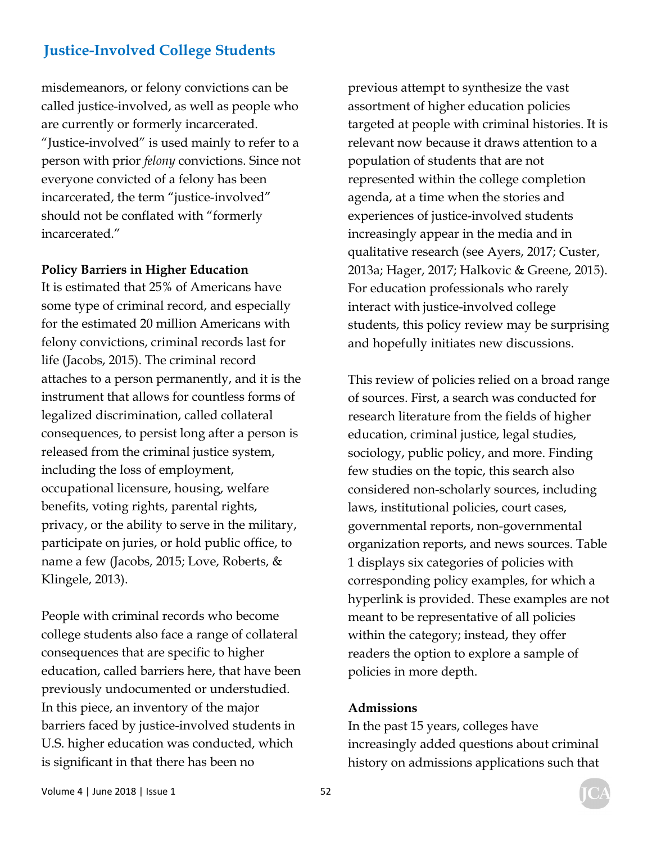misdemeanors, or felony convictions can be called justice-involved, as well as people who are currently or formerly incarcerated. "Justice-involved" is used mainly to refer to a person with prior *felony* convictions. Since not everyone convicted of a felony has been incarcerated, the term "justice-involved" should not be conflated with "formerly incarcerated."

#### **Policy Barriers in Higher Education**

It is estimated that 25% of Americans have some type of criminal record, and especially for the estimated 20 million Americans with felony convictions, criminal records last for life (Jacobs, 2015). The criminal record attaches to a person permanently, and it is the instrument that allows for countless forms of legalized discrimination, called collateral consequences, to persist long after a person is released from the criminal justice system, including the loss of employment, occupational licensure, housing, welfare benefits, voting rights, parental rights, privacy, or the ability to serve in the military, participate on juries, or hold public office, to name a few (Jacobs, 2015; Love, Roberts, & Klingele, 2013).

People with criminal records who become college students also face a range of collateral consequences that are specific to higher education, called barriers here, that have been previously undocumented or understudied. In this piece, an inventory of the major barriers faced by justice-involved students in U.S. higher education was conducted, which is significant in that there has been no

previous attempt to synthesize the vast assortment of higher education policies targeted at people with criminal histories. It is relevant now because it draws attention to a population of students that are not represented within the college completion agenda, at a time when the stories and experiences of justice-involved students increasingly appear in the media and in qualitative research (see Ayers, 2017; Custer, 2013a; Hager, 2017; Halkovic & Greene, 2015). For education professionals who rarely interact with justice-involved college students, this policy review may be surprising and hopefully initiates new discussions.

This review of policies relied on a broad range of sources. First, a search was conducted for research literature from the fields of higher education, criminal justice, legal studies, sociology, public policy, and more. Finding few studies on the topic, this search also considered non-scholarly sources, including laws, institutional policies, court cases, governmental reports, non-governmental organization reports, and news sources. Table 1 displays six categories of policies with corresponding policy examples, for which a hyperlink is provided. These examples are not meant to be representative of all policies within the category; instead, they offer readers the option to explore a sample of policies in more depth.

#### **Admissions**

In the past 15 years, colleges have increasingly added questions about criminal history on admissions applications such that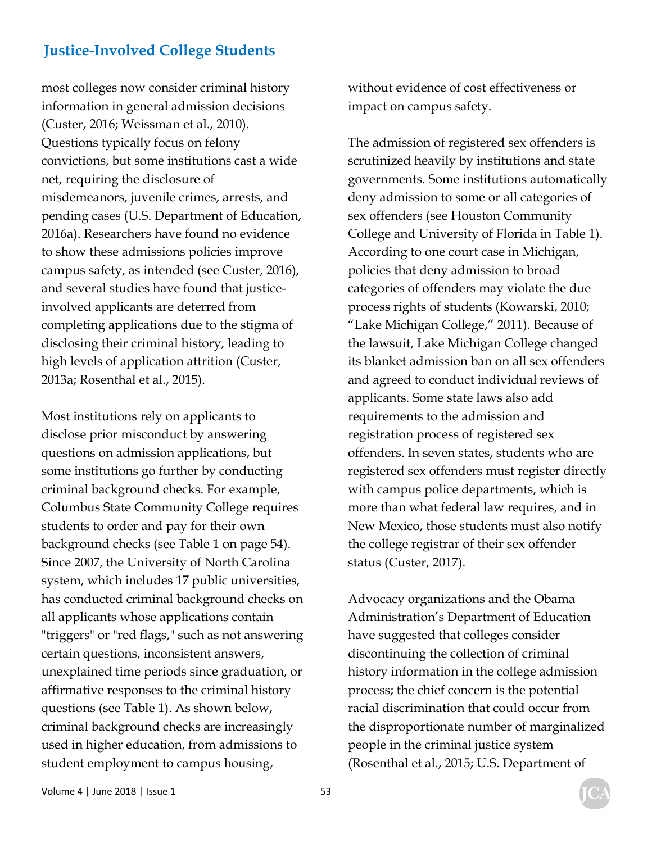most colleges now consider criminal history information in general admission decisions (Custer, 2016; Weissman et al., 2010). Questions typically focus on felony convictions, but some institutions cast a wide net, requiring the disclosure of misdemeanors, juvenile crimes, arrests, and pending cases (U.S. Department of Education, 2016a). Researchers have found no evidence to show these admissions policies improve campus safety, as intended (see Custer, 2016), and several studies have found that justiceinvolved applicants are deterred from completing applications due to the stigma of disclosing their criminal history, leading to high levels of application attrition (Custer, 2013a; Rosenthal et al., 2015).

Most institutions rely on applicants to disclose prior misconduct by answering questions on admission applications, but some institutions go further by conducting criminal background checks. For example, Columbus State Community College requires students to order and pay for their own background checks (see Table 1 on page 54). Since 2007, the University of North Carolina system, which includes 17 public universities, has conducted criminal background checks on all applicants whose applications contain "triggers" or "red flags," such as not answering certain questions, inconsistent answers, unexplained time periods since graduation, or affirmative responses to the criminal history questions (see Table 1). As shown below, criminal background checks are increasingly used in higher education, from admissions to student employment to campus housing,

without evidence of cost effectiveness or impact on campus safety.

The admission of registered sex offenders is scrutinized heavily by institutions and state governments. Some institutions automatically deny admission to some or all categories of sex offenders (see Houston Community College and University of Florida in Table 1). According to one court case in Michigan, policies that deny admission to broad categories of offenders may violate the due process rights of students (Kowarski, 2010; "Lake Michigan College," 2011). Because of the lawsuit, Lake Michigan College changed its blanket admission ban on all sex offenders and agreed to conduct individual reviews of applicants. Some state laws also add requirements to the admission and registration process of registered sex offenders. In seven states, students who are registered sex offenders must register directly with campus police departments, which is more than what federal law requires, and in New Mexico, those students must also notify the college registrar of their sex offender status (Custer, 2017).

Advocacy organizations and the Obama Administration's Department of Education have suggested that colleges consider discontinuing the collection of criminal history information in the college admission process; the chief concern is the potential racial discrimination that could occur from the disproportionate number of marginalized people in the criminal justice system (Rosenthal et al., 2015; U.S. Department of

Volume 4 | June 2018 | Issue 1 53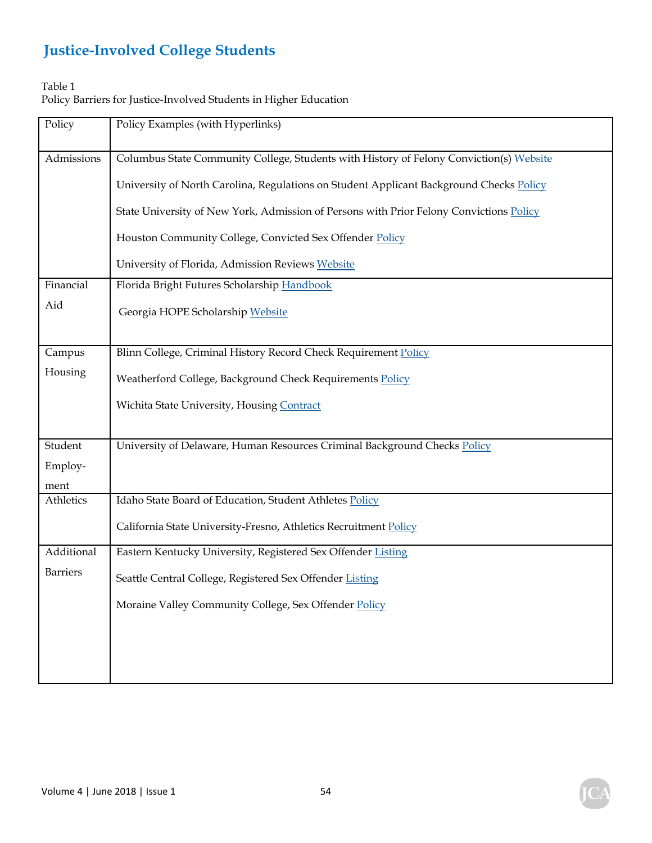#### Table 1

Policy Barriers for Justice-Involved Students in Higher Education

| Policy          | Policy Examples (with Hyperlinks)                                                       |
|-----------------|-----------------------------------------------------------------------------------------|
|                 |                                                                                         |
| Admissions      | Columbus State Community College, Students with History of Felony Conviction(s) Website |
|                 |                                                                                         |
|                 | University of North Carolina, Regulations on Student Applicant Background Checks Policy |
|                 | State University of New York, Admission of Persons with Prior Felony Convictions Policy |
|                 |                                                                                         |
|                 | Houston Community College, Convicted Sex Offender Policy                                |
|                 |                                                                                         |
|                 | University of Florida, Admission Reviews Website                                        |
| Financial       | Florida Bright Futures Scholarship Handbook                                             |
| Aid             | Georgia HOPE Scholarship Website                                                        |
|                 |                                                                                         |
|                 |                                                                                         |
| Campus          | Blinn College, Criminal History Record Check Requirement Policy                         |
| Housing         | Weatherford College, Background Check Requirements Policy                               |
|                 |                                                                                         |
|                 | Wichita State University, Housing Contract                                              |
|                 |                                                                                         |
| Student         | University of Delaware, Human Resources Criminal Background Checks Policy               |
| Employ-         |                                                                                         |
| ment            |                                                                                         |
| Athletics       | Idaho State Board of Education, Student Athletes Policy                                 |
|                 |                                                                                         |
|                 | California State University-Fresno, Athletics Recruitment Policy                        |
| Additional      | Eastern Kentucky University, Registered Sex Offender Listing                            |
| <b>Barriers</b> |                                                                                         |
|                 | Seattle Central College, Registered Sex Offender Listing                                |
|                 | Moraine Valley Community College, Sex Offender Policy                                   |
|                 |                                                                                         |
|                 |                                                                                         |
|                 |                                                                                         |
|                 |                                                                                         |

 $\mathbf C$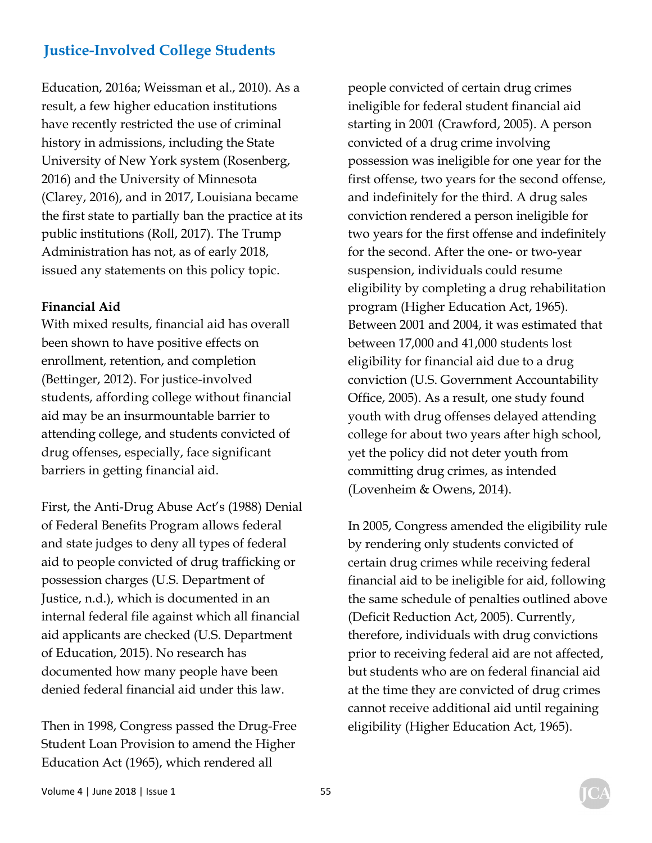Education, 2016a; Weissman et al., 2010). As a result, a few higher education institutions have recently restricted the use of criminal history in admissions, including the State University of New York system (Rosenberg, 2016) and the University of Minnesota (Clarey, 2016), and in 2017, Louisiana became the first state to partially ban the practice at its public institutions (Roll, 2017). The Trump Administration has not, as of early 2018, issued any statements on this policy topic.

#### **Financial Aid**

With mixed results, financial aid has overall been shown to have positive effects on enrollment, retention, and completion (Bettinger, 2012). For justice-involved students, affording college without financial aid may be an insurmountable barrier to attending college, and students convicted of drug offenses, especially, face significant barriers in getting financial aid.

First, the Anti-Drug Abuse Act's (1988) Denial of Federal Benefits Program allows federal and state judges to deny all types of federal aid to people convicted of drug trafficking or possession charges (U.S. Department of Justice, n.d.), which is documented in an internal federal file against which all financial aid applicants are checked (U.S. Department of Education, 2015). No research has documented how many people have been denied federal financial aid under this law.

Then in 1998, Congress passed the Drug-Free Student Loan Provision to amend the Higher Education Act (1965), which rendered all

people convicted of certain drug crimes ineligible for federal student financial aid starting in 2001 (Crawford, 2005). A person convicted of a drug crime involving possession was ineligible for one year for the first offense, two years for the second offense, and indefinitely for the third. A drug sales conviction rendered a person ineligible for two years for the first offense and indefinitely for the second. After the one- or two-year suspension, individuals could resume eligibility by completing a drug rehabilitation program (Higher Education Act, 1965). Between 2001 and 2004, it was estimated that between 17,000 and 41,000 students lost eligibility for financial aid due to a drug conviction (U.S. Government Accountability Office, 2005). As a result, one study found youth with drug offenses delayed attending college for about two years after high school, yet the policy did not deter youth from committing drug crimes, as intended (Lovenheim & Owens, 2014).

In 2005, Congress amended the eligibility rule by rendering only students convicted of certain drug crimes while receiving federal financial aid to be ineligible for aid, following the same schedule of penalties outlined above (Deficit Reduction Act, 2005). Currently, therefore, individuals with drug convictions prior to receiving federal aid are not affected, but students who are on federal financial aid at the time they are convicted of drug crimes cannot receive additional aid until regaining eligibility (Higher Education Act, 1965).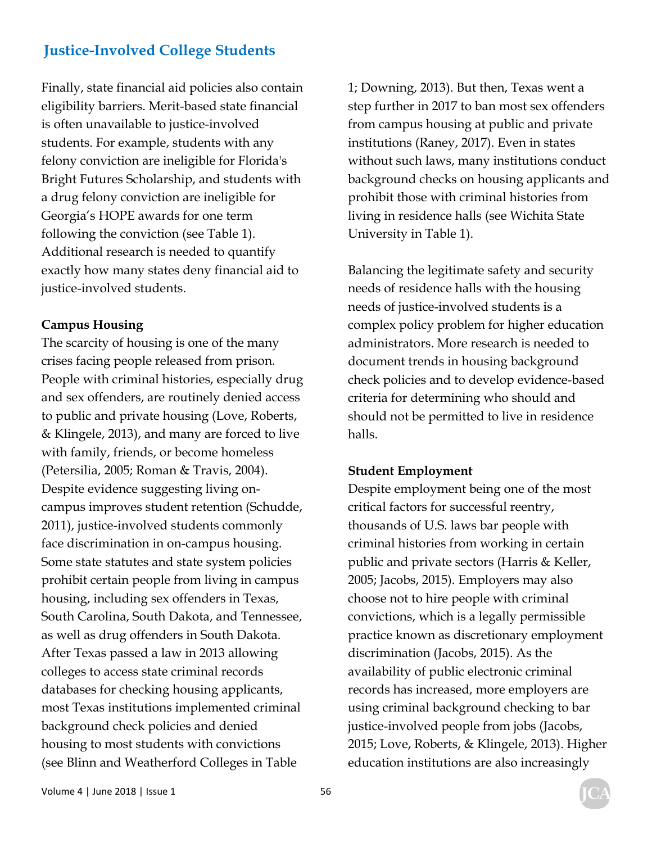Finally, state financial aid policies also contain eligibility barriers. Merit-based state financial is often unavailable to justice-involved students. For example, students with any felony conviction are ineligible for Florida's Bright Futures Scholarship, and students with a drug felony conviction are ineligible for Georgia's HOPE awards for one term following the conviction (see Table 1). Additional research is needed to quantify exactly how many states deny financial aid to justice-involved students.

#### **Campus Housing**

The scarcity of housing is one of the many crises facing people released from prison. People with criminal histories, especially drug and sex offenders, are routinely denied access to public and private housing (Love, Roberts, & Klingele, 2013), and many are forced to live with family, friends, or become homeless (Petersilia, 2005; Roman & Travis, 2004). Despite evidence suggesting living oncampus improves student retention (Schudde, 2011), justice-involved students commonly face discrimination in on-campus housing. Some state statutes and state system policies prohibit certain people from living in campus housing, including sex offenders in Texas, South Carolina, South Dakota, and Tennessee, as well as drug offenders in South Dakota. After Texas passed a law in 2013 allowing colleges to access state criminal records databases for checking housing applicants, most Texas institutions implemented criminal background check policies and denied housing to most students with convictions (see Blinn and Weatherford Colleges in Table

1; Downing, 2013). But then, Texas went a step further in 2017 to ban most sex offenders from campus housing at public and private institutions (Raney, 2017). Even in states without such laws, many institutions conduct background checks on housing applicants and prohibit those with criminal histories from living in residence halls (see Wichita State University in Table 1).

Balancing the legitimate safety and security needs of residence halls with the housing needs of justice-involved students is a complex policy problem for higher education administrators. More research is needed to document trends in housing background check policies and to develop evidence-based criteria for determining who should and should not be permitted to live in residence halls.

#### **Student Employment**

Despite employment being one of the most critical factors for successful reentry, thousands of U.S. laws bar people with criminal histories from working in certain public and private sectors (Harris & Keller, 2005; Jacobs, 2015). Employers may also choose not to hire people with criminal convictions, which is a legally permissible practice known as discretionary employment discrimination (Jacobs, 2015). As the availability of public electronic criminal records has increased, more employers are using criminal background checking to bar justice-involved people from jobs (Jacobs, 2015; Love, Roberts, & Klingele, 2013). Higher education institutions are also increasingly

Volume 4 | June 2018 | Issue 1 56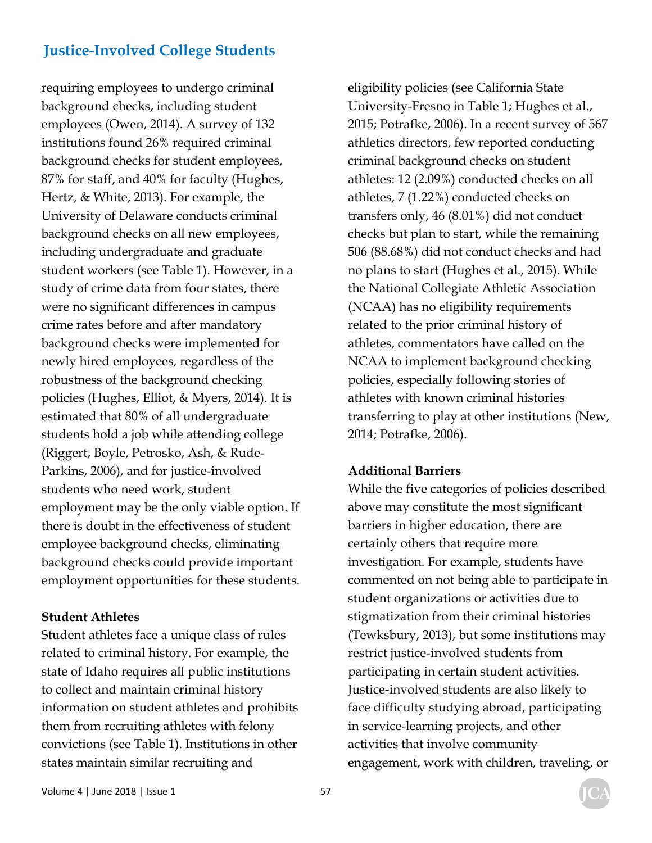requiring employees to undergo criminal background checks, including student employees (Owen, 2014). A survey of 132 institutions found 26% required criminal background checks for student employees, 87% for staff, and 40% for faculty (Hughes, Hertz, & White, 2013). For example, the University of Delaware conducts criminal background checks on all new employees, including undergraduate and graduate student workers (see Table 1). However, in a study of crime data from four states, there were no significant differences in campus crime rates before and after mandatory background checks were implemented for newly hired employees, regardless of the robustness of the background checking policies (Hughes, Elliot, & Myers, 2014). It is estimated that 80% of all undergraduate students hold a job while attending college (Riggert, Boyle, Petrosko, Ash, & Rude-Parkins, 2006), and for justice-involved students who need work, student employment may be the only viable option. If there is doubt in the effectiveness of student employee background checks, eliminating background checks could provide important employment opportunities for these students.

#### **Student Athletes**

Student athletes face a unique class of rules related to criminal history. For example, the state of Idaho requires all public institutions to collect and maintain criminal history information on student athletes and prohibits them from recruiting athletes with felony convictions (see Table 1). Institutions in other states maintain similar recruiting and

eligibility policies (see California State University-Fresno in Table 1; Hughes et al., 2015; Potrafke, 2006). In a recent survey of 567 athletics directors, few reported conducting criminal background checks on student athletes: 12 (2.09%) conducted checks on all athletes, 7 (1.22%) conducted checks on transfers only, 46 (8.01%) did not conduct checks but plan to start, while the remaining 506 (88.68%) did not conduct checks and had no plans to start (Hughes et al., 2015). While the National Collegiate Athletic Association (NCAA) has no eligibility requirements related to the prior criminal history of athletes, commentators have called on the NCAA to implement background checking policies, especially following stories of athletes with known criminal histories transferring to play at other institutions (New, 2014; Potrafke, 2006).

#### **Additional Barriers**

While the five categories of policies described above may constitute the most significant barriers in higher education, there are certainly others that require more investigation. For example, students have commented on not being able to participate in student organizations or activities due to stigmatization from their criminal histories (Tewksbury, 2013), but some institutions may restrict justice-involved students from participating in certain student activities. Justice-involved students are also likely to face difficulty studying abroad, participating in service-learning projects, and other activities that involve community engagement, work with children, traveling, or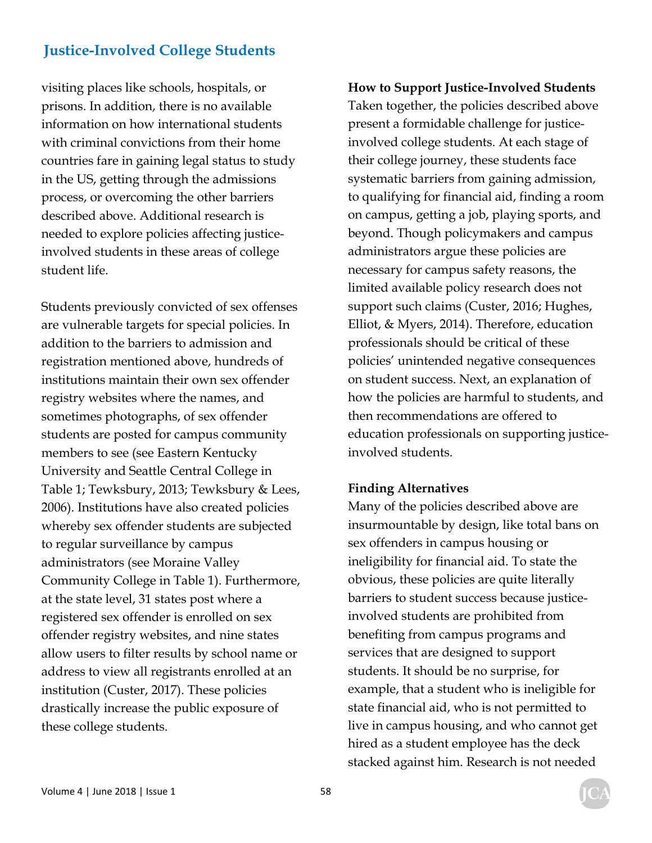visiting places like schools, hospitals, or prisons. In addition, there is no available information on how international students with criminal convictions from their home countries fare in gaining legal status to study in the US, getting through the admissions process, or overcoming the other barriers described above. Additional research is needed to explore policies affecting justiceinvolved students in these areas of college student life.

Students previously convicted of sex offenses are vulnerable targets for special policies. In addition to the barriers to admission and registration mentioned above, hundreds of institutions maintain their own sex offender registry websites where the names, and sometimes photographs, of sex offender students are posted for campus community members to see (see Eastern Kentucky University and Seattle Central College in Table 1; Tewksbury, 2013; Tewksbury & Lees, 2006). Institutions have also created policies whereby sex offender students are subjected to regular surveillance by campus administrators (see Moraine Valley Community College in Table 1). Furthermore, at the state level, 31 states post where a registered sex offender is enrolled on sex offender registry websites, and nine states allow users to filter results by school name or address to view all registrants enrolled at an institution (Custer, 2017). These policies drastically increase the public exposure of these college students.

**How to Support Justice-Involved Students**  Taken together, the policies described above present a formidable challenge for justiceinvolved college students. At each stage of their college journey, these students face systematic barriers from gaining admission, to qualifying for financial aid, finding a room on campus, getting a job, playing sports, and beyond. Though policymakers and campus administrators argue these policies are necessary for campus safety reasons, the limited available policy research does not support such claims (Custer, 2016; Hughes, Elliot, & Myers, 2014). Therefore, education professionals should be critical of these policies' unintended negative consequences on student success. Next, an explanation of how the policies are harmful to students, and then recommendations are offered to education professionals on supporting justiceinvolved students.

#### **Finding Alternatives**

Many of the policies described above are insurmountable by design, like total bans on sex offenders in campus housing or ineligibility for financial aid. To state the obvious, these policies are quite literally barriers to student success because justiceinvolved students are prohibited from benefiting from campus programs and services that are designed to support students. It should be no surprise, for example, that a student who is ineligible for state financial aid, who is not permitted to live in campus housing, and who cannot get hired as a student employee has the deck stacked against him. Research is not needed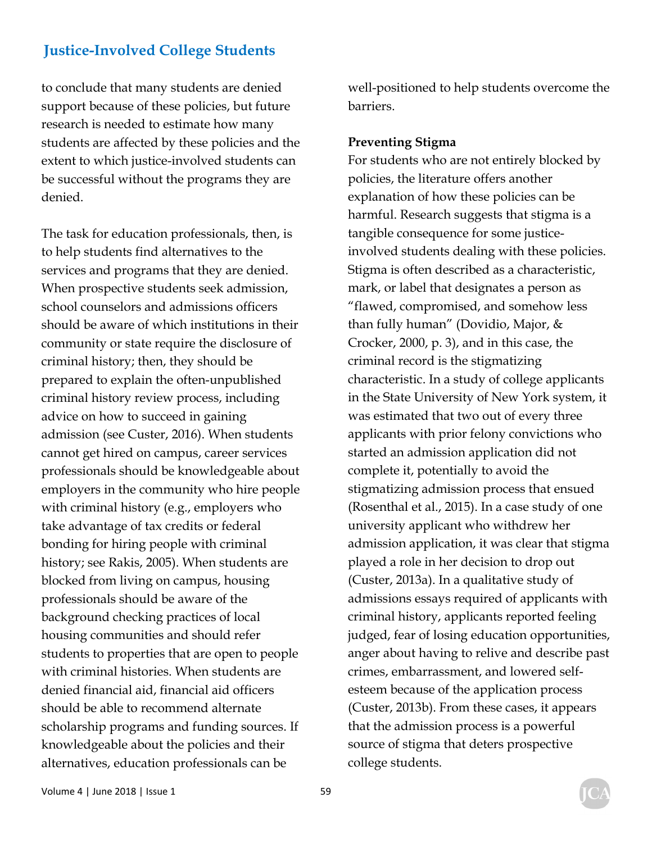to conclude that many students are denied support because of these policies, but future research is needed to estimate how many students are affected by these policies and the extent to which justice-involved students can be successful without the programs they are denied.

The task for education professionals, then, is to help students find alternatives to the services and programs that they are denied. When prospective students seek admission, school counselors and admissions officers should be aware of which institutions in their community or state require the disclosure of criminal history; then, they should be prepared to explain the often-unpublished criminal history review process, including advice on how to succeed in gaining admission (see Custer, 2016). When students cannot get hired on campus, career services professionals should be knowledgeable about employers in the community who hire people with criminal history (e.g., employers who take advantage of tax credits or federal bonding for hiring people with criminal history; see Rakis, 2005). When students are blocked from living on campus, housing professionals should be aware of the background checking practices of local housing communities and should refer students to properties that are open to people with criminal histories. When students are denied financial aid, financial aid officers should be able to recommend alternate scholarship programs and funding sources. If knowledgeable about the policies and their alternatives, education professionals can be

well-positioned to help students overcome the barriers.

#### **Preventing Stigma**

For students who are not entirely blocked by policies, the literature offers another explanation of how these policies can be harmful. Research suggests that stigma is a tangible consequence for some justiceinvolved students dealing with these policies. Stigma is often described as a characteristic, mark, or label that designates a person as "flawed, compromised, and somehow less than fully human" (Dovidio, Major, & Crocker, 2000, p. 3), and in this case, the criminal record is the stigmatizing characteristic. In a study of college applicants in the State University of New York system, it was estimated that two out of every three applicants with prior felony convictions who started an admission application did not complete it, potentially to avoid the stigmatizing admission process that ensued (Rosenthal et al., 2015). In a case study of one university applicant who withdrew her admission application, it was clear that stigma played a role in her decision to drop out (Custer, 2013a). In a qualitative study of admissions essays required of applicants with criminal history, applicants reported feeling judged, fear of losing education opportunities, anger about having to relive and describe past crimes, embarrassment, and lowered selfesteem because of the application process (Custer, 2013b). From these cases, it appears that the admission process is a powerful source of stigma that deters prospective college students.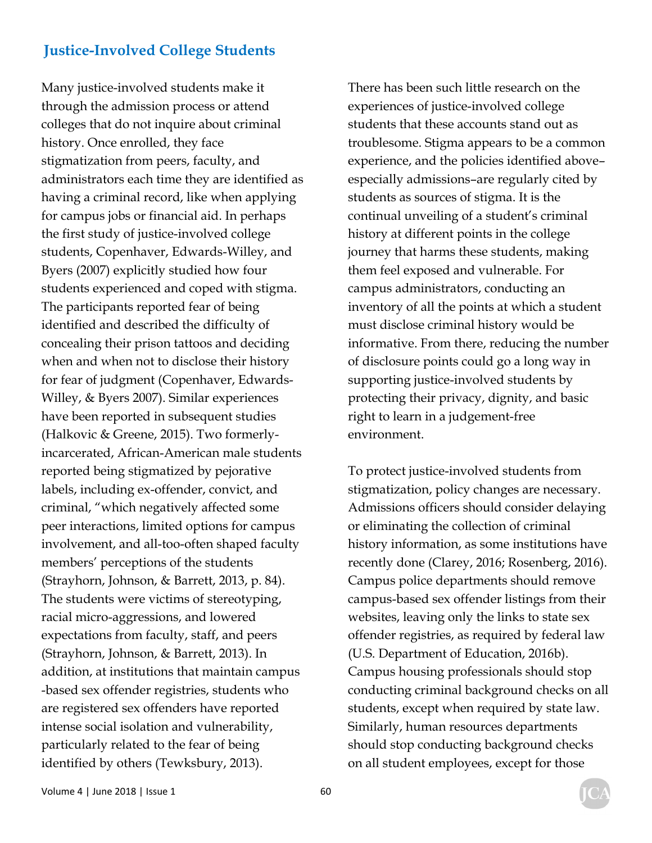Many justice-involved students make it through the admission process or attend colleges that do not inquire about criminal history. Once enrolled, they face stigmatization from peers, faculty, and administrators each time they are identified as having a criminal record, like when applying for campus jobs or financial aid. In perhaps the first study of justice-involved college students, Copenhaver, Edwards-Willey, and Byers (2007) explicitly studied how four students experienced and coped with stigma. The participants reported fear of being identified and described the difficulty of concealing their prison tattoos and deciding when and when not to disclose their history for fear of judgment (Copenhaver, Edwards-Willey, & Byers 2007). Similar experiences have been reported in subsequent studies (Halkovic & Greene, 2015). Two formerlyincarcerated, African-American male students reported being stigmatized by pejorative labels, including ex-offender, convict, and criminal, "which negatively affected some peer interactions, limited options for campus involvement, and all-too-often shaped faculty members' perceptions of the students (Strayhorn, Johnson, & Barrett, 2013, p. 84). The students were victims of stereotyping, racial micro-aggressions, and lowered expectations from faculty, staff, and peers (Strayhorn, Johnson, & Barrett, 2013). In addition, at institutions that maintain campus -based sex offender registries, students who are registered sex offenders have reported intense social isolation and vulnerability, particularly related to the fear of being identified by others (Tewksbury, 2013).

There has been such little research on the experiences of justice-involved college students that these accounts stand out as troublesome. Stigma appears to be a common experience, and the policies identified above– especially admissions–are regularly cited by students as sources of stigma. It is the continual unveiling of a student's criminal history at different points in the college journey that harms these students, making them feel exposed and vulnerable. For campus administrators, conducting an inventory of all the points at which a student must disclose criminal history would be informative. From there, reducing the number of disclosure points could go a long way in supporting justice-involved students by protecting their privacy, dignity, and basic right to learn in a judgement-free environment.

To protect justice-involved students from stigmatization, policy changes are necessary. Admissions officers should consider delaying or eliminating the collection of criminal history information, as some institutions have recently done (Clarey, 2016; Rosenberg, 2016). Campus police departments should remove campus-based sex offender listings from their websites, leaving only the links to state sex offender registries, as required by federal law (U.S. Department of Education, 2016b). Campus housing professionals should stop conducting criminal background checks on all students, except when required by state law. Similarly, human resources departments should stop conducting background checks on all student employees, except for those

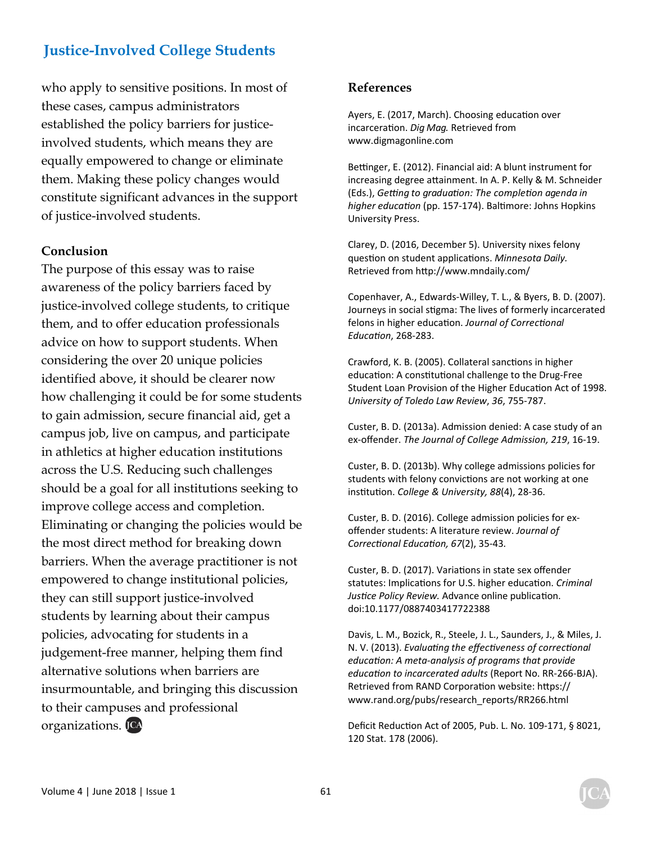who apply to sensitive positions. In most of these cases, campus administrators established the policy barriers for justiceinvolved students, which means they are equally empowered to change or eliminate them. Making these policy changes would constitute significant advances in the support of justice-involved students.

#### **Conclusion**

The purpose of this essay was to raise awareness of the policy barriers faced by justice-involved college students, to critique them, and to offer education professionals advice on how to support students. When considering the over 20 unique policies identified above, it should be clearer now how challenging it could be for some students to gain admission, secure financial aid, get a campus job, live on campus, and participate in athletics at higher education institutions across the U.S. Reducing such challenges should be a goal for all institutions seeking to improve college access and completion. Eliminating or changing the policies would be the most direct method for breaking down barriers. When the average practitioner is not empowered to change institutional policies, they can still support justice-involved students by learning about their campus policies, advocating for students in a judgement-free manner, helping them find alternative solutions when barriers are insurmountable, and bringing this discussion to their campuses and professional organizations.

#### **References**

Ayers, E. (2017, March). Choosing education over incarceration. *Dig Mag*. Retrieved from [www.digmagonline.com](http://www.digmagonline.com) 

Bettinger, E. (2012). Financial aid: A blunt instrument for increasing degree attainment. In A. P. Kelly & M. Schneider (Eds.), Getting to graduation: The completion agenda in *higher educaƟon* (pp. 157‐174). BalƟmore: Johns Hopkins University Press.

Clarey, D. (2016, December 5). University nixes felony question on student applications. Minnesota Daily. Retrieved from hƩp://[www.mndaily.com/](http://www.mndaily.com/) 

Copenhaver, A., Edwards‐Willey, T. L., & Byers, B. D. (2007). Journeys in social stigma: The lives of formerly incarcerated felons in higher education. *Journal of Correctional EducaƟon*, 268‐283.

Crawford, K. B. (2005). Collateral sanctions in higher education: A constitutional challenge to the Drug-Free Student Loan Provision of the Higher Education Act of 1998. *University of Toledo Law Review*, *36*, 755‐787.

Custer, B. D. (2013a). Admission denied: A case study of an ex‐offender. *The Journal of College Admission, 219*, 16‐19.

Custer, B. D. (2013b). Why college admissions policies for students with felony convictions are not working at one institution. College & University, 88(4), 28-36.

Custer, B. D. (2016). College admission policies for ex‐ offender students: A literature review. *Journal of CorrecƟonal EducaƟon, 67*(2), 35‐43*.* 

Custer, B. D. (2017). Variations in state sex offender statutes: Implications for U.S. higher education. *Criminal* Justice Policy Review. Advance online publication. doi:10.1177/0887403417722388

Davis, L. M., Bozick, R., Steele, J. L., Saunders, J., & Miles, J. N. V. (2013). *EvaluaƟng the effecƟveness of correcƟonal educaƟon: A meta‐analysis of programs that provide educaƟon to incarcerated adults* (Report No. RR‐266‐BJA). Retrieved from RAND Corporation website: https:// [www.rand.org/pubs/research\\_reports/RR266.html](http://www.rand.org/pubs/research_reports/RR266.html)

Deficit Reduction Act of 2005, Pub. L. No. 109-171, § 8021, 120 Stat. 178 (2006).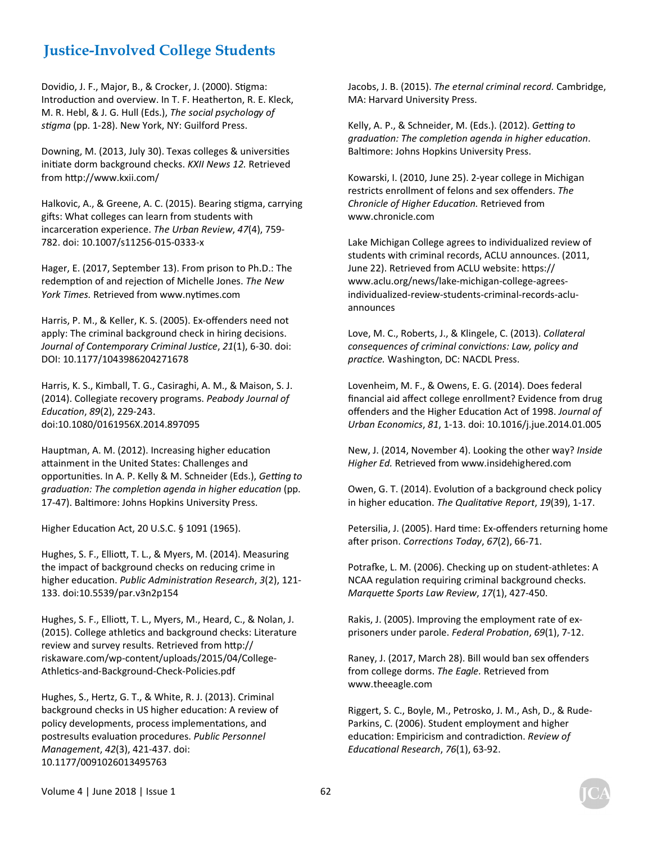Dovidio, J. F., Major, B., & Crocker, J. (2000). Stigma: Introduction and overview. In T. F. Heatherton, R. E. Kleck, M. R. Hebl, & J. G. Hull (Eds.), *The social psychology of* stigma (pp. 1-28). New York, NY: Guilford Press.

Downing, M. (2013, July 30). Texas colleges & universities initiate dorm background checks. *KXII News 12.* Retrieved from hƩp:/[/www.kxii.com/](http://www.kxii.com/) 

Halkovic, A., & Greene, A. C. (2015). Bearing stigma, carrying gifts: What colleges can learn from students with incarceraƟon experience. *The Urban Review*, *47*(4), 759‐ 782. doi: 10.1007/s11256‐015‐0333‐x

Hager, E. (2017, September 13). From prison to Ph.D.: The redemption of and rejection of Michelle Jones. The New *York Times.* Retrieved from [www.nyƟmes.com](http://www.ny%ED%AF%80%ED%B6%9Fmes.com) 

Harris, P. M., & Keller, K. S. (2005). Ex‐offenders need not apply: The criminal background check in hiring decisions. *Journal of Contemporary Criminal JusƟce*, *21*(1), 6‐30. doi: DOI: 10.1177/1043986204271678

Harris, K. S., Kimball, T. G., Casiraghi, A. M., & Maison, S. J. (2014). Collegiate recovery programs. *Peabody Journal of EducaƟon*, *89*(2), 229‐243. doi:10.1080/0161956X.2014.897095

Hauptman, A. M. (2012). Increasing higher education attainment in the United States: Challenges and opportunities. In A. P. Kelly & M. Schneider (Eds.), Getting to *graduaƟon: The compleƟon agenda in higher educaƟon* (pp. 17-47). Baltimore: Johns Hopkins University Press.

Higher Education Act, 20 U.S.C. § 1091 (1965).

Hughes, S. F., Elliott, T. L., & Myers, M. (2014). Measuring the impact of background checks on reducing crime in higher education. Public Administration Research, 3(2), 121-133. doi:10.5539/par.v3n2p154

Hughes, S. F., Elliott, T. L., Myers, M., Heard, C., & Nolan, J. (2015). College athletics and background checks: Literature review and survey results. Retrieved from http:// riskaware.com/wp‐content/uploads/2015/04/College‐ Athletics-and-Background-Check-Policies.pdf

Hughes, S., Hertz, G. T., & White, R. J. (2013). Criminal background checks in US higher education: A review of policy developments, process implementations, and postresults evaluaƟon procedures. *Public Personnel Management*, *42*(3), 421‐437. doi: 10.1177/0091026013495763

Jacobs, J. B. (2015). *The eternal criminal record.* Cambridge, MA: Harvard University Press.

Kelly, A. P., & Schneider, M. (Eds.). (2012). *Geƫng to graduaƟon: The compleƟon agenda in higher educaƟon*. Baltimore: Johns Hopkins University Press.

Kowarski, I. (2010, June 25). 2‐year college in Michigan restricts enrollment of felons and sex offenders. *The Chronicle of Higher EducaƟon.* Retrieved from [www.chronicle.com](http://www.chronicle.com) 

Lake Michigan College agrees to individualized review of students with criminal records, ACLU announces. (2011, June 22). Retrieved from ACLU website: https:// [www.aclu.org/news/lake‐michigan‐college‐agr](http://www.aclu.org/news/lake%E2%80%90michigan%E2%80%90college%E2%80%90agrees%E2%80%90individualized%E2%80%90review%E2%80%90students%E2%80%90criminal%E2%80%90records%E2%80%90aclu%E2%80%90announcesLove)ees‐ [individualized‐review‐students‐criminal‐records‐aclu‐](http://www.aclu.org/news/lake%E2%80%90michigan%E2%80%90college%E2%80%90agrees%E2%80%90individualized%E2%80%90review%E2%80%90students%E2%80%90criminal%E2%80%90records%E2%80%90aclu%E2%80%90announcesLove) announces

[Love, M](http://www.aclu.org/news/lake%E2%80%90michigan%E2%80%90college%E2%80%90agrees%E2%80%90individualized%E2%80%90review%E2%80%90students%E2%80%90criminal%E2%80%90records%E2%80%90aclu%E2%80%90announcesLove). C., Roberts, J., & Klingele, C. (2013). *Collateral consequences of criminal convicƟons: Law, policy and pracƟce.* Washington, DC: NACDL Press.

Lovenheim, M. F., & Owens, E. G. (2014). Does federal financial aid affect college enrollment? Evidence from drug offenders and the Higher EducaƟon Act of 1998. *Journal of Urban Economics*, *81*, 1‐13. doi: 10.1016/j.jue.2014.01.005

New, J. (2014, November 4). Looking the other way? *Inside Higher Ed.* Retrieved from [www.insidehighered.com](http://www.insidehighered.com) 

Owen, G. T. (2014). Evolution of a background check policy in higher education. *The Qualitative Report*, 19(39), 1-17.

Petersilia, J. (2005). Hard time: Ex-offenders returning home after prison. Corrections Today, 67(2), 66-71.

Potrafke, L. M. (2006). Checking up on student-athletes: A NCAA regulation requiring criminal background checks. *MarqueƩe Sports Law Review*, *17*(1), 427‐450.

Rakis, J. (2005). Improving the employment rate of ex‐ prisoners under parole. *Federal ProbaƟon*, *69*(1), 7‐12.

Raney, J. (2017, March 28). Bill would ban sex offenders from college dorms. *The Eagle.* Retrieved from [www.theeagle.com](http://www.theeagle.com) 

Riggert, S. C., Boyle, M., Petrosko, J. M., Ash, D., & Rude‐ Parkins, C. (2006). Student employment and higher educaƟon: Empiricism and contradicƟon. *Review of EducaƟonal Research*, *76*(1), 63‐92.